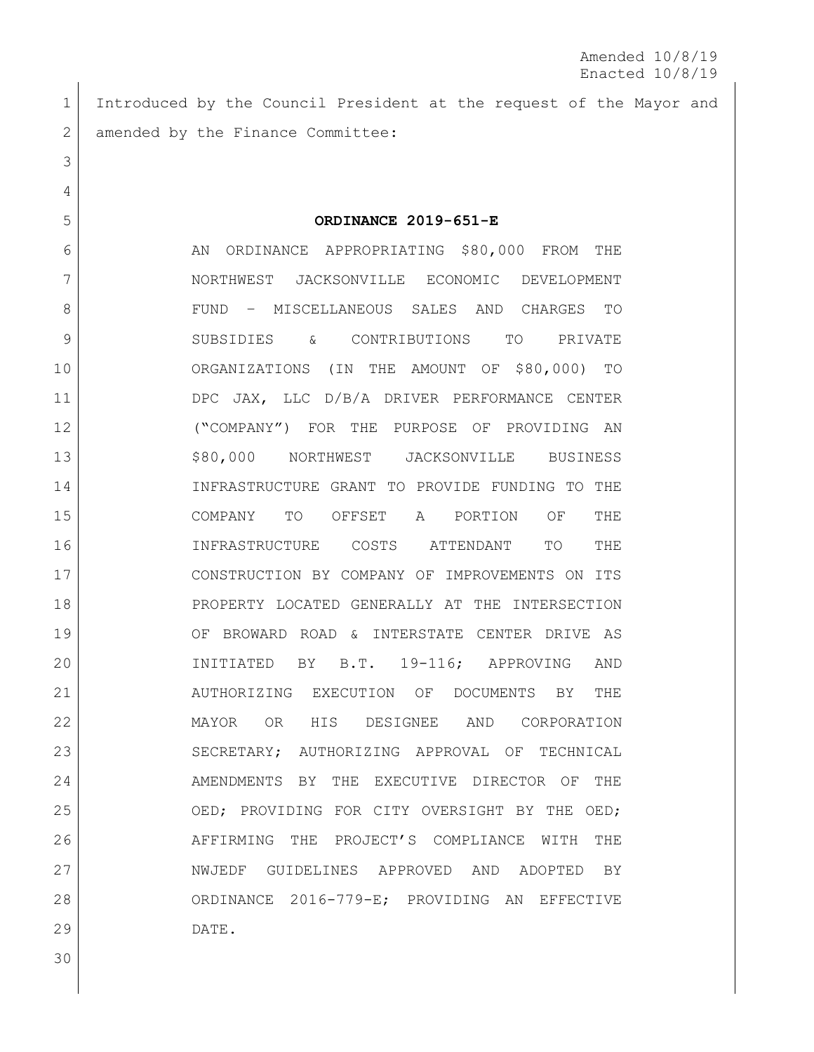1 Introduced by the Council President at the request of the Mayor and 2 amended by the Finance Committee:

 **ORDINANCE 2019-651-E** 6 AN ORDINANCE APPROPRIATING \$80,000 FROM THE NORTHWEST JACKSONVILLE ECONOMIC DEVELOPMENT FUND – MISCELLANEOUS SALES AND CHARGES TO SUBSIDIES & CONTRIBUTIONS TO PRIVATE ORGANIZATIONS (IN THE AMOUNT OF \$80,000) TO DPC JAX, LLC D/B/A DRIVER PERFORMANCE CENTER ("COMPANY") FOR THE PURPOSE OF PROVIDING AN \$80,000 NORTHWEST JACKSONVILLE BUSINESS INFRASTRUCTURE GRANT TO PROVIDE FUNDING TO THE COMPANY TO OFFSET A PORTION OF THE INFRASTRUCTURE COSTS ATTENDANT TO THE CONSTRUCTION BY COMPANY OF IMPROVEMENTS ON ITS PROPERTY LOCATED GENERALLY AT THE INTERSECTION OF BROWARD ROAD & INTERSTATE CENTER DRIVE AS INITIATED BY B.T. 19-116; APPROVING AND AUTHORIZING EXECUTION OF DOCUMENTS BY THE MAYOR OR HIS DESIGNEE AND CORPORATION 23 SECRETARY; AUTHORIZING APPROVAL OF TECHNICAL 24 AMENDMENTS BY THE EXECUTIVE DIRECTOR OF THE 25 OED; PROVIDING FOR CITY OVERSIGHT BY THE OED; AFFIRMING THE PROJECT'S COMPLIANCE WITH THE NWJEDF GUIDELINES APPROVED AND ADOPTED BY ORDINANCE 2016-779-E; PROVIDING AN EFFECTIVE DATE.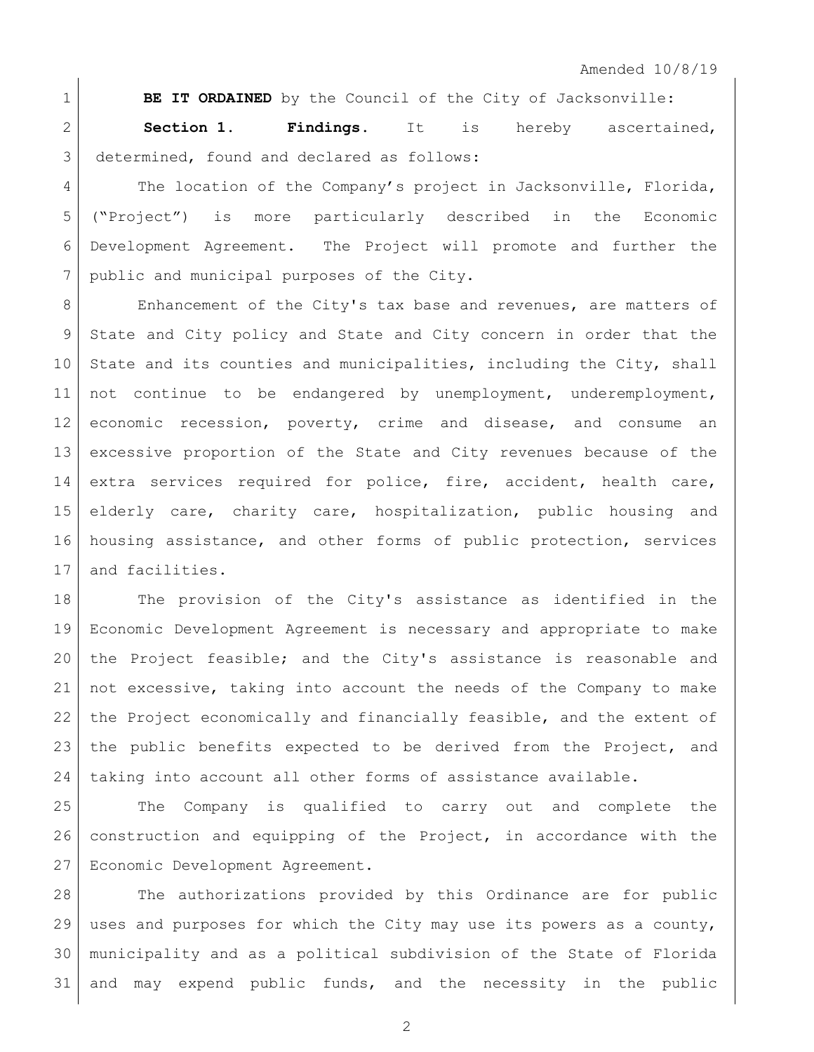**BE IT ORDAINED** by the Council of the City of Jacksonville: **Section 1. Findings**. It is hereby ascertained, 3 determined, found and declared as follows:

4 The location of the Company's project in Jacksonville, Florida, ("Project") is more particularly described in the Economic Development Agreement. The Project will promote and further the 7 public and municipal purposes of the City.

8 Enhancement of the City's tax base and revenues, are matters of State and City policy and State and City concern in order that the 10 State and its counties and municipalities, including the City, shall 11 | not continue to be endangered by unemployment, underemployment, economic recession, poverty, crime and disease, and consume an excessive proportion of the State and City revenues because of the 14 extra services required for police, fire, accident, health care, elderly care, charity care, hospitalization, public housing and 16 housing assistance, and other forms of public protection, services 17 and facilities.

 The provision of the City's assistance as identified in the Economic Development Agreement is necessary and appropriate to make the Project feasible; and the City's assistance is reasonable and not excessive, taking into account the needs of the Company to make the Project economically and financially feasible, and the extent of the public benefits expected to be derived from the Project, and 24 | taking into account all other forms of assistance available.

 The Company is qualified to carry out and complete the construction and equipping of the Project, in accordance with the Economic Development Agreement.

 The authorizations provided by this Ordinance are for public uses and purposes for which the City may use its powers as a county, municipality and as a political subdivision of the State of Florida and may expend public funds, and the necessity in the public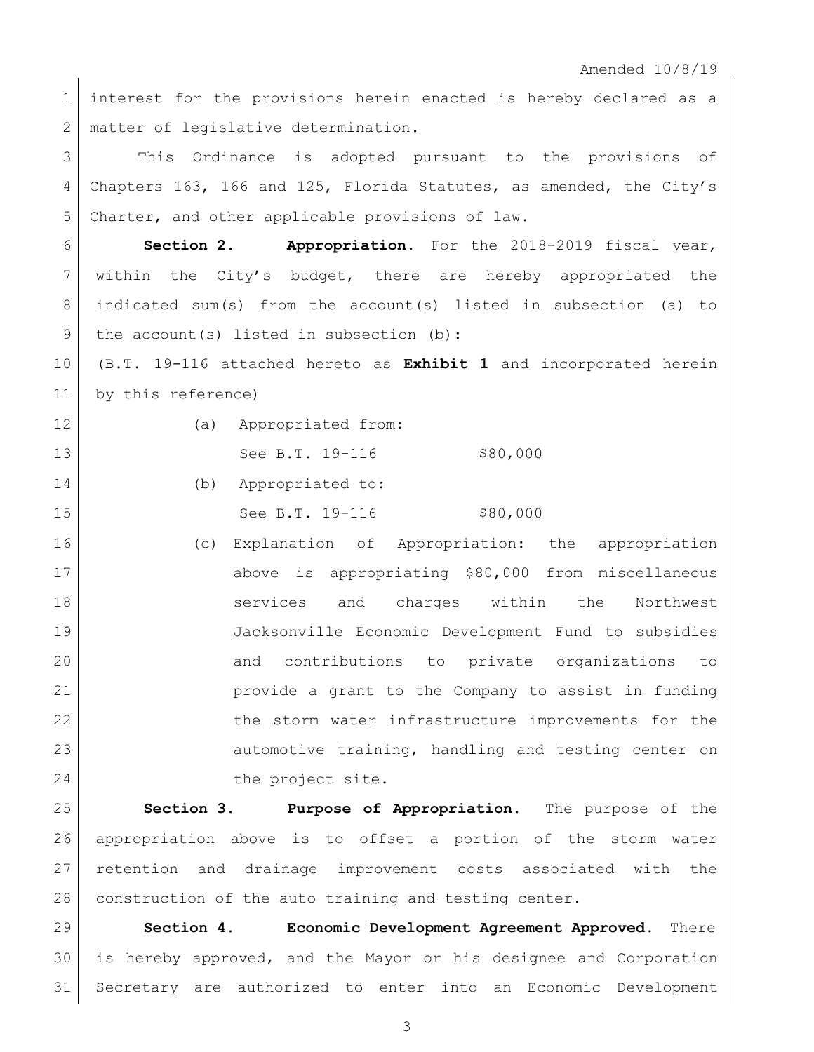Amended 10/8/19

1 interest for the provisions herein enacted is hereby declared as a 2 | matter of legislative determination.

3 | This Ordinance is adopted pursuant to the provisions of Chapters 163, 166 and 125, Florida Statutes, as amended, the City's Charter, and other applicable provisions of law.

 **Section 2. Appropriation.** For the 2018-2019 fiscal year, within the City's budget, there are hereby appropriated the indicated sum(s) from the account(s) listed in subsection (a) to 9 | the account (s) listed in subsection (b):

 (B.T. 19-116 attached hereto as **Exhibit 1** and incorporated herein by this reference)

| ł |  |
|---|--|
|   |  |

12 (a) Appropriated from: 13 See B.T. 19-116 \$80,000

(b) Appropriated to:

15 See B.T. 19-116 \$80,000

 (c) Explanation of Appropriation: the appropriation above is appropriating \$80,000 from miscellaneous **S** is the Services and charges within the Northwest Jacksonville Economic Development Fund to subsidies 20 and contributions to private organizations to provide a grant to the Company to assist in funding 22 the storm water infrastructure improvements for the 23 automotive training, handling and testing center on 24 a the project site.

 **Section 3. Purpose of Appropriation.** The purpose of the appropriation above is to offset a portion of the storm water retention and drainage improvement costs associated with the 28 construction of the auto training and testing center.

 **Section 4. Economic Development Agreement Approved**. There is hereby approved, and the Mayor or his designee and Corporation Secretary are authorized to enter into an Economic Development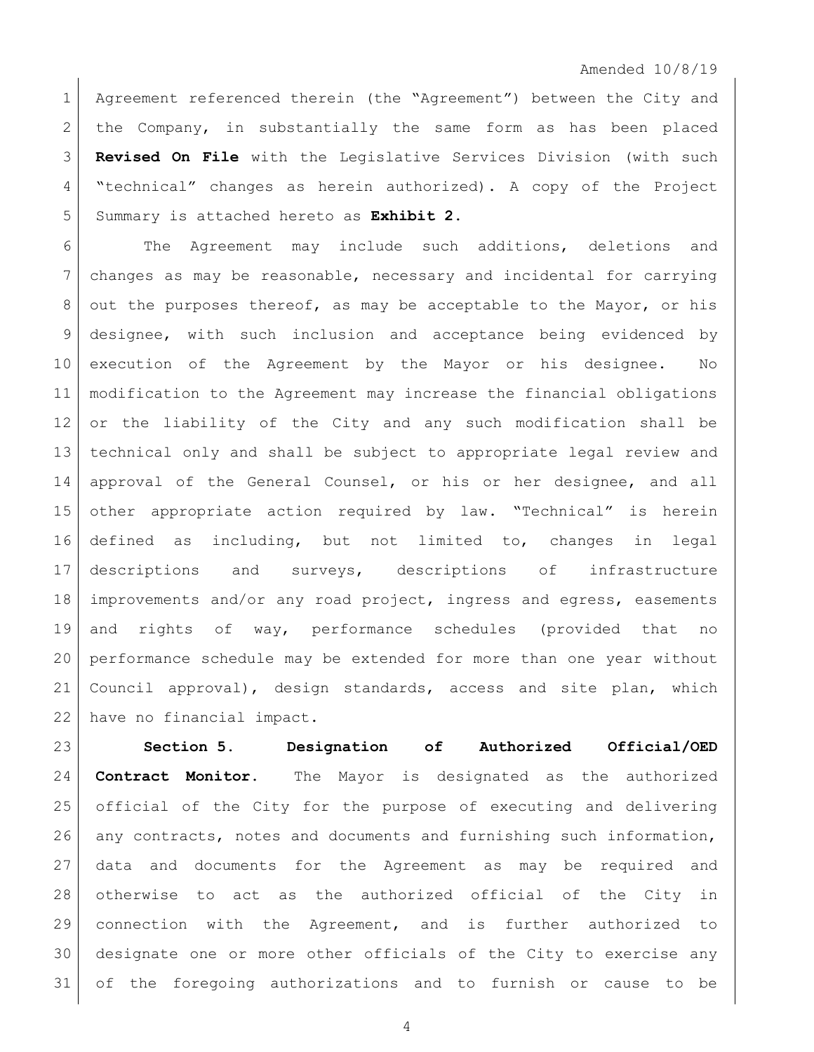Amended 10/8/19

1 Agreement referenced therein (the "Agreement") between the City and the Company, in substantially the same form as has been placed **Revised On File** with the Legislative Services Division (with such "technical" changes as herein authorized). A copy of the Project Summary is attached hereto as **Exhibit 2**.

6 The Agreement may include such additions, deletions and changes as may be reasonable, necessary and incidental for carrying 8 out the purposes thereof, as may be acceptable to the Mayor, or his designee, with such inclusion and acceptance being evidenced by execution of the Agreement by the Mayor or his designee. No modification to the Agreement may increase the financial obligations or the liability of the City and any such modification shall be technical only and shall be subject to appropriate legal review and 14 approval of the General Counsel, or his or her designee, and all other appropriate action required by law. "Technical" is herein defined as including, but not limited to, changes in legal descriptions and surveys, descriptions of infrastructure improvements and/or any road project, ingress and egress, easements and rights of way, performance schedules (provided that no performance schedule may be extended for more than one year without Council approval), design standards, access and site plan, which have no financial impact.

 **Section 5. Designation of Authorized Official/OED Contract Monitor.** The Mayor is designated as the authorized official of the City for the purpose of executing and delivering any contracts, notes and documents and furnishing such information, data and documents for the Agreement as may be required and otherwise to act as the authorized official of the City in connection with the Agreement, and is further authorized to designate one or more other officials of the City to exercise any of the foregoing authorizations and to furnish or cause to be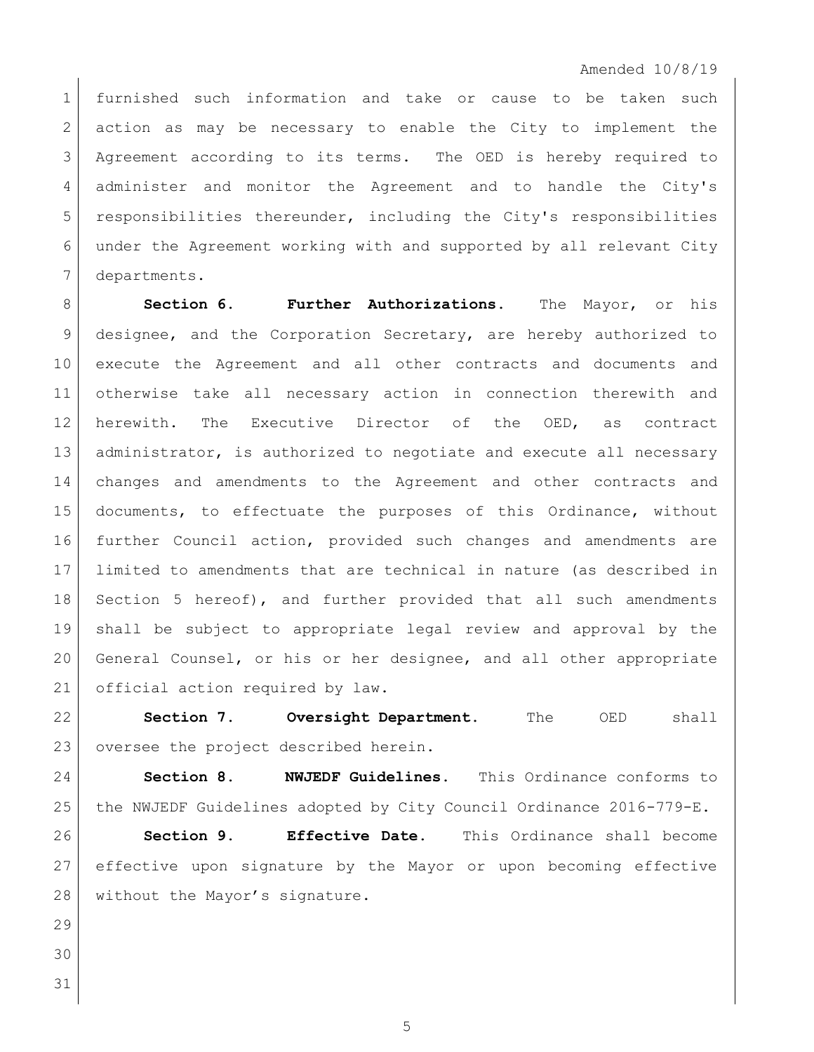Amended 10/8/19

 furnished such information and take or cause to be taken such 2 action as may be necessary to enable the City to implement the Agreement according to its terms. The OED is hereby required to administer and monitor the Agreement and to handle the City's 5 responsibilities thereunder, including the City's responsibilities under the Agreement working with and supported by all relevant City departments.

 **Section 6. Further Authorizations.** The Mayor, or his designee, and the Corporation Secretary, are hereby authorized to execute the Agreement and all other contracts and documents and otherwise take all necessary action in connection therewith and herewith. The Executive Director of the OED, as contract 13 | administrator, is authorized to negotiate and execute all necessary changes and amendments to the Agreement and other contracts and documents, to effectuate the purposes of this Ordinance, without further Council action, provided such changes and amendments are limited to amendments that are technical in nature (as described in Section 5 hereof), and further provided that all such amendments shall be subject to appropriate legal review and approval by the General Counsel, or his or her designee, and all other appropriate 21 official action required by law.

 **Section 7. Oversight Department.** The OED shall 23 oversee the project described herein.

 **Section 8. NWJEDF Guidelines.** This Ordinance conforms to the NWJEDF Guidelines adopted by City Council Ordinance 2016-779-E.

 **Section 9. Effective Date.** This Ordinance shall become effective upon signature by the Mayor or upon becoming effective 28 without the Mayor's signature.